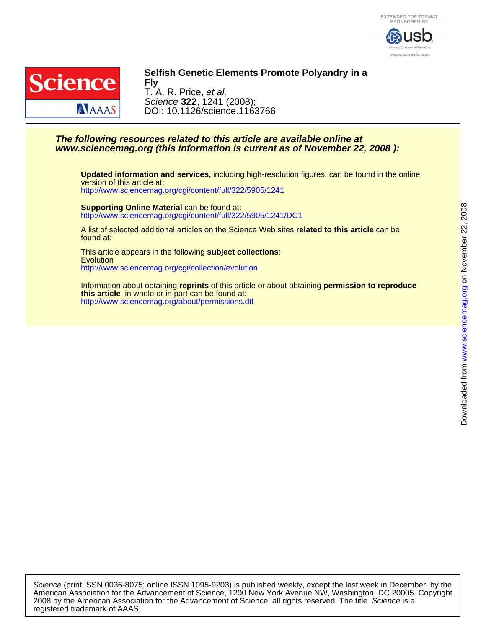



## **Selfish Genetic Elements Promote Polyandry in a**

DOI: 10.1126/science.1163766 Science **322**, 1241 (2008); T. A. R. Price, et al. **Fly**

## **www.sciencemag.org (this information is current as of November 22, 2008 ): The following resources related to this article are available online at**

<http://www.sciencemag.org/cgi/content/full/322/5905/1241> version of this article at: **Updated information and services,** including high-resolution figures, can be found in the online

<http://www.sciencemag.org/cgi/content/full/322/5905/1241/DC1> **Supporting Online Material** can be found at:

found at: A list of selected additional articles on the Science Web sites **related to this article** can be

<http://www.sciencemag.org/cgi/collection/evolution> **Evolution** This article appears in the following **subject collections**:

<http://www.sciencemag.org/about/permissions.dtl> **this article** in whole or in part can be found at: Information about obtaining **reprints** of this article or about obtaining **permission to reproduce**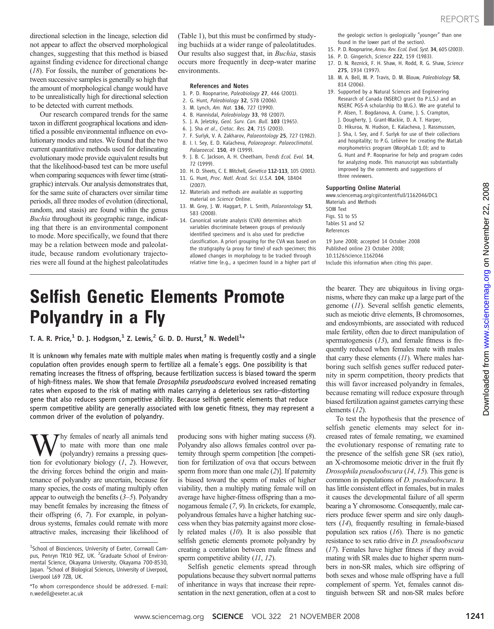directional selection in the lineage, selection did not appear to affect the observed morphological changes, suggesting that this method is biased against finding evidence for directional change (18). For fossils, the number of generations between successive samples is generally so high that the amount of morphological change would have to be unrealistically high for directional selection to be detected with current methods.

Our research compared trends for the same taxon in different geographical locations and identified a possible environmental influence on evolutionary modes and rates. We found that the two current quantitative methods used for delineating evolutionary mode provide equivalent results but that the likelihood-based test can be more useful when comparing sequences with fewer time (stratigraphic) intervals. Our analysis demonstrates that, for the same suite of characters over similar time periods, all three modes of evolution (directional, random, and stasis) are found within the genus Buchia throughout its geographic range, indicating that there is an environmental component to mode. More specifically, we found that there may be a relation between mode and paleolatitude, because random evolutionary trajectories were all found at the highest paleolatitudes

(Table 1), but this must be confirmed by studying buchiids at a wider range of paleolatitudes. Our results also suggest that, in Buchia, stasis occurs more frequently in deep-water marine environments.

### References and Notes

- 1. P. D. Roopnarine, Paleobiology 27, 446 (2001).
- 2. G. Hunt, Paleobiology 32, 578 (2006).
- 3. M. Lynch, Am. Nat. 136, 727 (1990).
- 4. B. Hannisdal, Paleobiology 33, 98 (2007).
- 5. J. A. Jeletzky, Geol. Surv. Can. Bull. 103 (1965).
- 6. J. Sha et al., Cretac. Res. 24, 715 (2003).
- 7. F. Surlyk, V. A. Zakharov, Palaeontology 25, 727 (1982). 8. I. I. Sey, E. D. Kalacheva, Palaeogeogr. Palaeoclimatol. Palaeoecol. 150, 49 (1999).
- 9. J. B. C. Jackson, A. H. Cheetham, Trends Ecol. Evol. 14, 72 (1999).
- 10. H. D. Sheets, C. E. Mitchell, Genetica 112-113, 105 (2001).
- 11. G. Hunt, Proc. Natl. Acad. Sci. U.S.A. 104, 18404 (2007).
- 12. Materials and methods are available as supporting material on Science Online.
- 13. M. Grey, J. W. Haggart, P. L. Smith, Palaeontology 51, 583 (2008).
- 14. Canonical variate analysis (CVA) determines which variables discriminate between groups of previously identified specimens and is also used for predictive classification. A priori grouping for the CVA was based on the stratigraphy (a proxy for time) of each specimen; this allowed changes in morphology to be tracked through relative time (e.g., a specimen found in a higher part of

the geologic section is geologically "younger" than one found in the lower part of the section).

- 15. P. D. Roopnarine, Annu. Rev. Ecol. Evol. Syst. 34, 605 (2003).
- 16. P. D. Gingerich, Science 222, 159 (1983).
- 17. D. N. Reznick, F. H. Shaw, H. Rodd, R. G. Shaw, Science 275, 1934 (1997).
- 18. M. A. Bell, M. P. Travis, D. M. Blouw, Paleobiology 58, 814 (2006).
- 19. Supported by a Natural Sciences and Engineering Research of Canada (NSERC) grant (to P.L.S.) and an NSERC PGS-A scholarship (to M.G.). We are grateful to P. Alsen, T. Bogdanova, A. Crame, J. S. Crampton, J. Dougherty, J. Grant-Mackie, D. A. T. Harper,
	- D. Hikuroa, N. Hudson, E. Kalacheva, J. Rassmussen, J. Sha, I. Sey, and F. Surlyk for use of their collections
	- and hospitality; to P.G. Lelièvre for creating the MatLab morphometrics program (MorphLab 1.0); and to
	- G. Hunt and P. Roopnarine for help and program codes for analyzing mode. This manuscript was substantially improved by the comments and suggestions of three reviewers.

#### Supporting Online Material

www.sciencemag.org/cgi/content/full/1162046/DC1 Materials and Methods SOM Text Figs. S1 to S5 Tables S1 and S2 References

19 June 2008; accepted 14 October 2008 Published online 23 October 2008; 10.1126/science.1162046 Include this information when citing this paper.

# Selfish Genetic Elements Promote Polyandry in a Fly

T. A. R. Price, $^1$  D. J. Hodgson, $^1$  Z. Lewis, $^2$  G. D. D. Hurst, $^3$  N. Wedell $^1\star$ 

It is unknown why females mate with multiple males when mating is frequently costly and a single copulation often provides enough sperm to fertilize all a female's eggs. One possibility is that remating increases the fitness of offspring, because fertilization success is biased toward the sperm of high-fitness males. We show that female Drosophila pseudoobscura evolved increased remating rates when exposed to the risk of mating with males carrying a deleterious sex ratio–distorting gene that also reduces sperm competitive ability. Because selfish genetic elements that reduce sperm competitive ability are generally associated with low genetic fitness, they may represent a common driver of the evolution of polyandry.

hy females of nearly all animals tend to mate with more than one male (polyandry) remains a pressing question for evolutionary biology  $(1, 2)$ . However, the driving forces behind the origin and maintenance of polyandry are uncertain, because for many species, the costs of mating multiply often appear to outweigh the benefits  $(3-5)$ . Polyandry may benefit females by increasing the fitness of their offspring (6, 7). For example, in polyandrous systems, females could remate with more attractive males, increasing their likelihood of

producing sons with higher mating success (8). Polyandry also allows females control over paternity through sperm competition [the competition for fertilization of ova that occurs between sperm from more than one male (2)]. If paternity is biased toward the sperm of males of higher viability, then a multiply mating female will on average have higher-fitness offspring than a monogamous female (7, 9). In crickets, for example, polyandrous females have a higher hatching success when they bias paternity against more closely related males (10). It is also possible that selfish genetic elements promote polyandry by creating a correlation between male fitness and sperm competitive ability (11, 12).

Selfish genetic elements spread through populations because they subvert normal patterns of inheritance in ways that increase their representation in the next generation, often at a cost to the bearer. They are ubiquitous in living organisms, where they can make up a large part of the genome (11). Several selfish genetic elements, such as meiotic drive elements, B chromosomes, and endosymbionts, are associated with reduced male fertility, often due to direct manipulation of spermatogenesis (13), and female fitness is frequently reduced when females mate with males that carry these elements  $(11)$ . Where males harboring such selfish genes suffer reduced paternity in sperm competition, theory predicts that this will favor increased polyandry in females, because remating will reduce exposure through biased fertilization against gametes carrying these elements (12).

To test the hypothesis that the presence of selfish genetic elements may select for increased rates of female remating, we examined the evolutionary response of remating rate to the presence of the selfish gene SR (sex ratio), an X-chromosome meiotic driver in the fruit fly Drosophila pseudoobscura (14, 15). This gene is common in populations of D. pseudoobscura. It has little consistent effect in females, but in males it causes the developmental failure of all sperm bearing a Y chromosome. Consequently, male carriers produce fewer sperm and sire only daughters (14), frequently resulting in female-biased population sex ratios (16). There is no genetic resistance to sex ratio drive in D. pseudoobscura (17). Females have higher fitness if they avoid mating with SR males due to higher sperm numbers in non-SR males, which sire offspring of both sexes and whose male offspring have a full complement of sperm. Yet, females cannot distinguish between SR and non-SR males before

<sup>&</sup>lt;sup>1</sup>School of Biosciences, University of Exeter, Cornwall Campus, Penryn TR10 9EZ, UK. <sup>2</sup>Graduate School of Environmental Science, Okayama University, Okayama 700-8530, Japan. <sup>3</sup> School of Biological Sciences, University of Liverpool, Liverpool L69 7ZB, UK.

<sup>\*</sup>To whom correspondence should be addressed. E-mail: n.wedell@exeter.ac.uk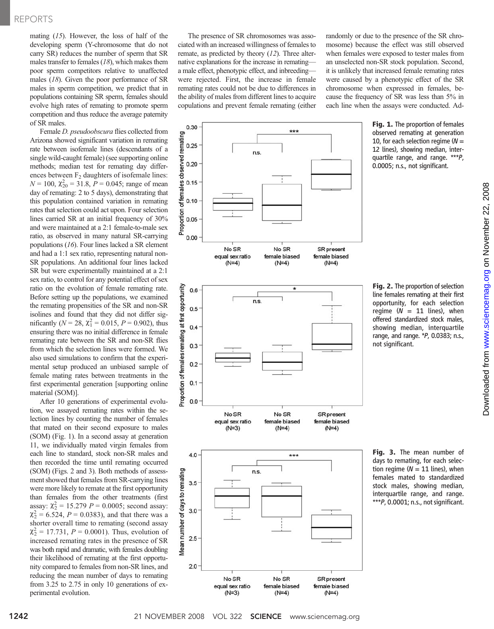mating  $(15)$ . However, the loss of half of the developing sperm (Y-chromosome that do not carry SR) reduces the number of sperm that SR males transfer to females  $(18)$ , which makes them poor sperm competitors relative to unaffected males (18). Given the poor performance of SR males in sperm competition, we predict that in populations containing SR sperm, females should evolve high rates of remating to promote sperm competition and thus reduce the average paternity of SR males.

Female D. pseudoobscura flies collected from Arizona showed significant variation in remating rate between isofemale lines (descendants of a single wild-caught female) (see supporting online methods; median test for remating day differences between  $F_2$  daughters of isofemale lines:  $N = 100$ ,  $\chi^2_{20} = 31.8$ ,  $P = 0.045$ ; range of mean day of remating: 2 to 5 days), demonstrating that this population contained variation in remating rates that selection could act upon. Four selection lines carried SR at an initial frequency of 30% and were maintained at a 2:1 female-to-male sex ratio, as observed in many natural SR-carrying populations (16). Four lines lacked a SR element and had a 1:1 sex ratio, representing natural non-SR populations. An additional four lines lacked SR but were experimentally maintained at a 2:1 sex ratio, to control for any potential effect of sex ratio on the evolution of female remating rate. Before setting up the populations, we examined the remating propensities of the SR and non-SR isolines and found that they did not differ significantly ( $N = 28$ ,  $\chi_1^2 = 0.015$ ,  $P = 0.902$ ), thus ensuring there was no initial difference in female remating rate between the SR and non-SR flies from which the selection lines were formed. We also used simulations to confirm that the experimental setup produced an unbiased sample of female mating rates between treatments in the first experimental generation [supporting online material (SOM)].

After 10 generations of experimental evolution, we assayed remating rates within the selection lines by counting the number of females that mated on their second exposure to males (SOM) (Fig. 1). In a second assay at generation 11, we individually mated virgin females from each line to standard, stock non-SR males and then recorded the time until remating occurred (SOM) (Figs. 2 and 3). Both methods of assessment showed that females from SR-carrying lines were more likely to remate at the first opportunity than females from the other treatments (first assay:  $\chi_2^2 = 15.279$   $P = 0.0005$ ; second assay:  $\chi^2$  = 6.524, *P* = 0.0383), and that there was a shorter overall time to remating (second assay  $\chi^2$  = 17.731, *P* = 0.0001). Thus, evolution of increased remating rates in the presence of SR was both rapid and dramatic, with females doubling their likelihood of remating at the first opportunity compared to females from non-SR lines, and reducing the mean number of days to remating from 3.25 to 2.75 in only 10 generations of experimental evolution.

The presence of SR chromosomes was associated with an increased willingness of females to remate, as predicted by theory (12). Three alternative explanations for the increase in remating a male effect, phenotypic effect, and inbreeding were rejected. First, the increase in female remating rates could not be due to differences in the ability of males from different lines to acquire copulations and prevent female remating (either

n.s

n.s.

No SR

equal sex ratio

 $(N=4)$ 

No SR

equal sex ratio

 $***$ 

No SR

female biased

 $(N=4)$ 

No SR

female biased

SR present

female biased

 $(N=4)$ 

SR present

female biased

0.30

0.20

 $0.15$ 

 $0.10$ 

 $0.00$ 

 $0.6$ 

 $0.5$ 

 $0.4$ 

 $0.3$ 

 $0.2$ 

 $0.1$ 

 $0.0$ 

remating 0.25

of females observed

Proportion  $0.05$ 

Proportion of females remating at first opportunity

randomly or due to the presence of the SR chromosome) because the effect was still observed when females were exposed to tester males from an unselected non-SR stock population. Second, it is unlikely that increased female remating rates were caused by a phenotypic effect of the SR chromosome when expressed in females, because the frequency of SR was less than 5% in each line when the assays were conducted. Ad-

> Fig. 1. The proportion of females observed remating at generation 10, for each selection regime ( $N =$ 12 lines), showing median, interquartile range, and range. \*\*\*P, 0.0005; n.s., not significant.





Fig. 3. The mean number of days to remating, for each selection regime ( $N = 11$  lines), when females mated to standardized stock males, showing median, interquartile range, and range. \*\*\*P, 0.0001; n.s., not significant.